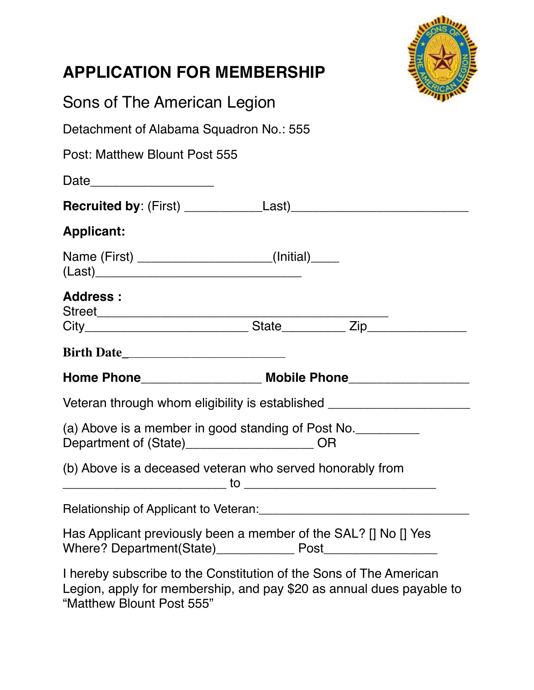| <b>APPLICATION FOR MEMBERSHIP</b>                                                                                                                                       |  |  |
|-------------------------------------------------------------------------------------------------------------------------------------------------------------------------|--|--|
| Sons of The American Legion                                                                                                                                             |  |  |
| Detachment of Alabama Squadron No.: 555                                                                                                                                 |  |  |
| Post: Matthew Blount Post 555                                                                                                                                           |  |  |
|                                                                                                                                                                         |  |  |
|                                                                                                                                                                         |  |  |
| <b>Applicant:</b>                                                                                                                                                       |  |  |
| Name (First) _______________________(Initial)_____                                                                                                                      |  |  |
| <b>Address:</b>                                                                                                                                                         |  |  |
|                                                                                                                                                                         |  |  |
|                                                                                                                                                                         |  |  |
|                                                                                                                                                                         |  |  |
| Veteran through whom eligibility is established ________________________________                                                                                        |  |  |
| (a) Above is a member in good standing of Post No.<br>Department of (State)______________________OR                                                                     |  |  |
| (b) Above is a deceased veteran who served honorably from                                                                                                               |  |  |
| Relationship of Applicant to Veteran: [19] Decree Applicant of Applicant to Veteran:                                                                                    |  |  |
| Has Applicant previously been a member of the SAL? [] No [] Yes                                                                                                         |  |  |
| I hereby subscribe to the Constitution of the Sons of The American<br>Legion, apply for membership, and pay \$20 as annual dues payable to<br>"Matthew Blount Post 555" |  |  |